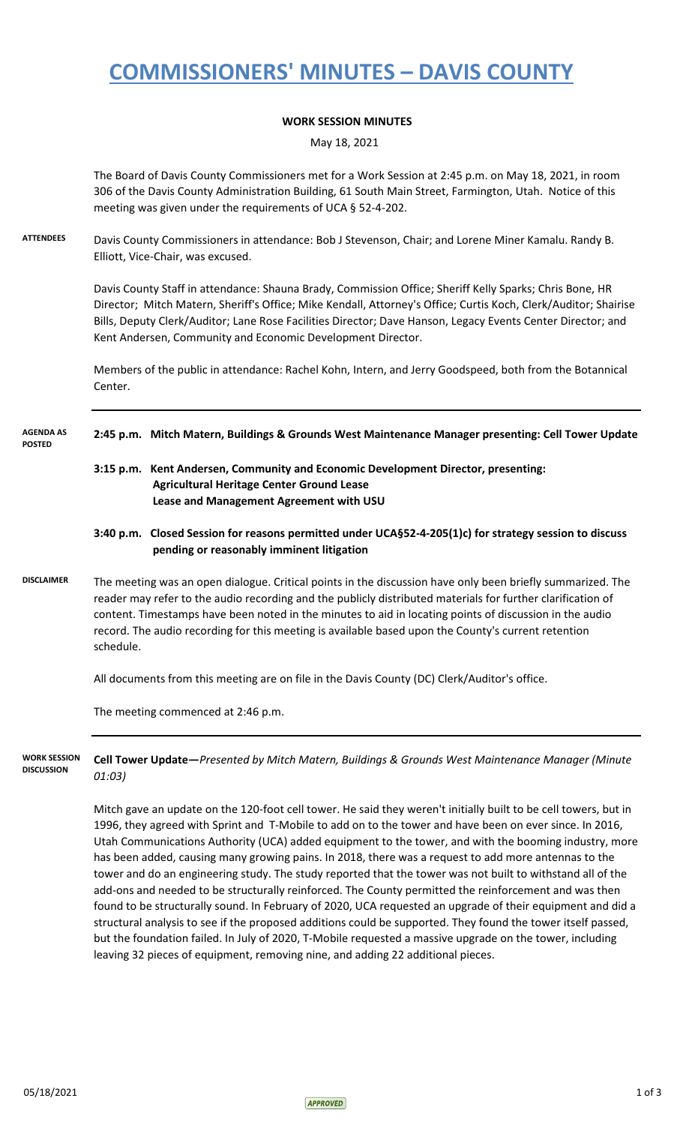### **COMMISSIONERS' MINUTES – DAVIS COUNTY**

#### **WORK SESSION MINUTES**

May 18, 2021

The Board of Davis County Commissioners met for a Work Session at 2:45 p.m. on May 18, 2021, in room 306 of the Davis County Administration Building, 61 South Main Street, Farmington, Utah. Notice of this meeting was given under the requirements of UCA § 52-4-202.

**ATTENDEES** Davis County Commissioners in attendance: Bob J Stevenson, Chair; and Lorene Miner Kamalu. Randy B. Elliott, Vice-Chair, was excused.

> Davis County Staff in attendance: Shauna Brady, Commission Office; Sheriff Kelly Sparks; Chris Bone, HR Director; Mitch Matern, Sheriff's Office; Mike Kendall, Attorney's Office; Curtis Koch, Clerk/Auditor; Shairise Bills, Deputy Clerk/Auditor; Lane Rose Facilities Director; Dave Hanson, Legacy Events Center Director; and Kent Andersen, Community and Economic Development Director.

Members of the public in attendance: Rachel Kohn, Intern, and Jerry Goodspeed, both from the Botannical Center.

#### **2:45 p.m. Mitch Matern, Buildings & Grounds West Maintenance Manager presenting: Cell Tower Update AGENDA AS POSTED**

- **3:15 p.m. Kent Andersen, Community and Economic Development Director, presenting: Agricultural Heritage Center Ground Lease Lease and Management Agreement with USU**
- **3:40 p.m. Closed Session for reasons permitted under UCA§52-4-205(1)c) for strategy session to discuss pending or reasonably imminent litigation**
- **DISCLAIMER** The meeting was an open dialogue. Critical points in the discussion have only been briefly summarized. The reader may refer to the audio recording and the publicly distributed materials for further clarification of content. Timestamps have been noted in the minutes to aid in locating points of discussion in the audio record. The audio recording for this meeting is available based upon the County's current retention schedule.

All documents from this meeting are on file in the Davis County (DC) Clerk/Auditor's office.

The meeting commenced at 2:46 p.m.

**Cell Tower Update—***Presented by Mitch Matern, Buildings & Grounds West Maintenance Manager (Minute 01:03)* **WORK SESSION DISCUSSION**

> Mitch gave an update on the 120-foot cell tower. He said they weren't initially built to be cell towers, but in 1996, they agreed with Sprint and T-Mobile to add on to the tower and have been on ever since. In 2016, Utah Communications Authority (UCA) added equipment to the tower, and with the booming industry, more has been added, causing many growing pains. In 2018, there was a request to add more antennas to the tower and do an engineering study. The study reported that the tower was not built to withstand all of the add-ons and needed to be structurally reinforced. The County permitted the reinforcement and was then found to be structurally sound. In February of 2020, UCA requested an upgrade of their equipment and did a structural analysis to see if the proposed additions could be supported. They found the tower itself passed, but the foundation failed. In July of 2020, T-Mobile requested a massive upgrade on the tower, including leaving 32 pieces of equipment, removing nine, and adding 22 additional pieces.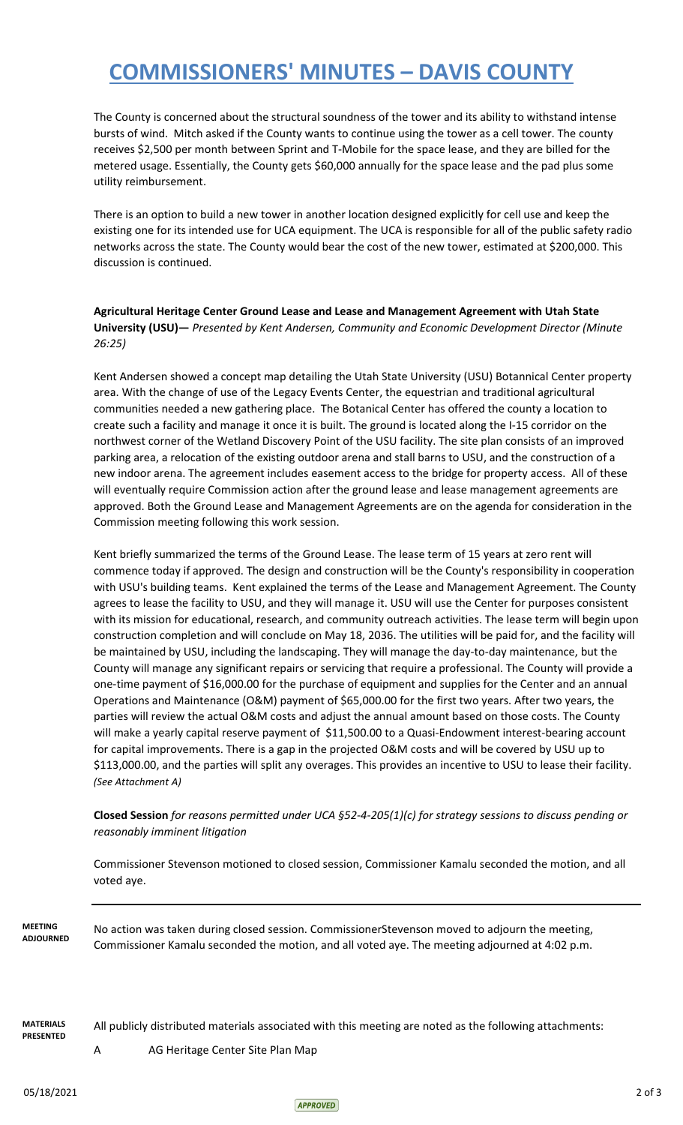## **COMMISSIONERS' MINUTES – DAVIS COUNTY**

The County is concerned about the structural soundness of the tower and its ability to withstand intense bursts of wind. Mitch asked if the County wants to continue using the tower as a cell tower. The county receives \$2,500 per month between Sprint and T-Mobile for the space lease, and they are billed for the metered usage. Essentially, the County gets \$60,000 annually for the space lease and the pad plus some utility reimbursement.

There is an option to build a new tower in another location designed explicitly for cell use and keep the existing one for its intended use for UCA equipment. The UCA is responsible for all of the public safety radio networks across the state. The County would bear the cost of the new tower, estimated at \$200,000. This discussion is continued.

### **Agricultural Heritage Center Ground Lease and Lease and Management Agreement with Utah State University (USU)—** *Presented by Kent Andersen, Community and Economic Development Director (Minute 26:25)*

Kent Andersen showed a concept map detailing the Utah State University (USU) Botannical Center property area. With the change of use of the Legacy Events Center, the equestrian and traditional agricultural communities needed a new gathering place. The Botanical Center has offered the county a location to create such a facility and manage it once it is built. The ground is located along the I-15 corridor on the northwest corner of the Wetland Discovery Point of the USU facility. The site plan consists of an improved parking area, a relocation of the existing outdoor arena and stall barns to USU, and the construction of a new indoor arena. The agreement includes easement access to the bridge for property access. All of these will eventually require Commission action after the ground lease and lease management agreements are approved. Both the Ground Lease and Management Agreements are on the agenda for consideration in the Commission meeting following this work session.

Kent briefly summarized the terms of the Ground Lease. The lease term of 15 years at zero rent will commence today if approved. The design and construction will be the County's responsibility in cooperation with USU's building teams. Kent explained the terms of the Lease and Management Agreement. The County agrees to lease the facility to USU, and they will manage it. USU will use the Center for purposes consistent with its mission for educational, research, and community outreach activities. The lease term will begin upon construction completion and will conclude on May 18, 2036. The utilities will be paid for, and the facility will be maintained by USU, including the landscaping. They will manage the day-to-day maintenance, but the County will manage any significant repairs or servicing that require a professional. The County will provide a one-time payment of \$16,000.00 for the purchase of equipment and supplies for the Center and an annual Operations and Maintenance (O&M) payment of \$65,000.00 for the first two years. After two years, the parties will review the actual O&M costs and adjust the annual amount based on those costs. The County will make a yearly capital reserve payment of \$11,500.00 to a Quasi-Endowment interest-bearing account for capital improvements. There is a gap in the projected O&M costs and will be covered by USU up to \$113,000.00, and the parties will split any overages. This provides an incentive to USU to lease their facility. *(See Attachment A)*

### **Closed Session** *for reasons permitted under UCA §52-4-205(1)(c) for strategy sessions to discuss pending or reasonably imminent litigation*

Commissioner Stevenson motioned to closed session, Commissioner Kamalu seconded the motion, and all voted aye.

**MEETING ADJOURNED** No action was taken during closed session. CommissionerStevenson moved to adjourn the meeting, Commissioner Kamalu seconded the motion, and all voted aye. The meeting adjourned at 4:02 p.m.

**MATERIALS PRESENTED**

All publicly distributed materials associated with this meeting are noted as the following attachments:

A AG Heritage Center Site Plan Map